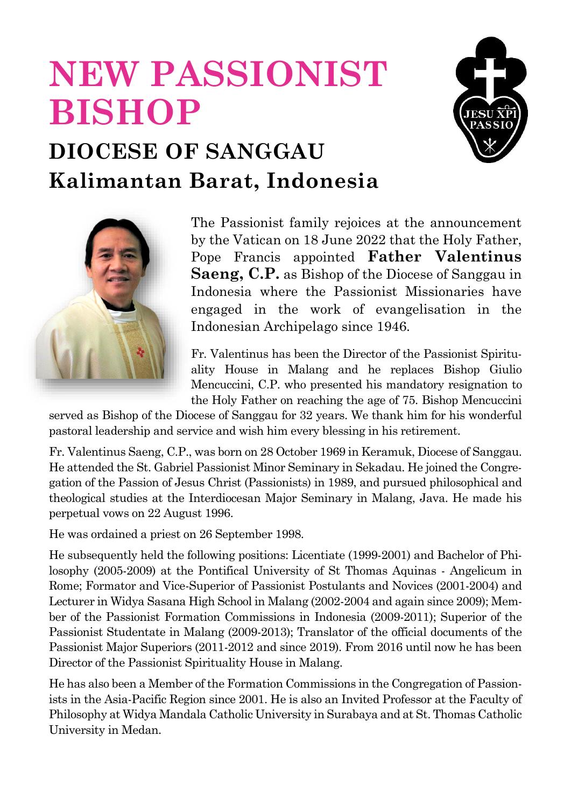## **NEW PASSIONIST BISHOP**



## **DIOCESE OF SANGGAU Kalimantan Barat, Indonesia**



The Passionist family rejoices at the announcement by the Vatican on 18 June 2022 that the Holy Father, Pope Francis appointed **Father Valentinus Saeng, C.P.** as Bishop of the Diocese of Sanggau in Indonesia where the Passionist Missionaries have engaged in the work of evangelisation in the Indonesian Archipelago since 1946.

Fr. Valentinus has been the Director of the Passionist Spirituality House in Malang and he replaces Bishop Giulio Mencuccini, C.P. who presented his mandatory resignation to the Holy Father on reaching the age of 75. Bishop Mencuccini

served as Bishop of the Diocese of Sanggau for 32 years. We thank him for his wonderful pastoral leadership and service and wish him every blessing in his retirement.

Fr. Valentinus Saeng, C.P., was born on 28 October 1969 in Keramuk, Diocese of Sanggau. He attended the St. Gabriel Passionist Minor Seminary in Sekadau. He joined the Congregation of the Passion of Jesus Christ (Passionists) in 1989, and pursued philosophical and theological studies at the Interdiocesan Major Seminary in Malang, Java. He made his perpetual vows on 22 August 1996.

He was ordained a priest on 26 September 1998.

He subsequently held the following positions: Licentiate (1999-2001) and Bachelor of Philosophy (2005-2009) at the Pontifical University of St Thomas Aquinas - Angelicum in Rome; Formator and Vice-Superior of Passionist Postulants and Novices (2001-2004) and Lecturer in Widya Sasana High School in Malang (2002-2004 and again since 2009); Member of the Passionist Formation Commissions in Indonesia (2009-2011); Superior of the Passionist Studentate in Malang (2009-2013); Translator of the official documents of the Passionist Major Superiors (2011-2012 and since 2019). From 2016 until now he has been Director of the Passionist Spirituality House in Malang.

He has also been a Member of the Formation Commissions in the Congregation of Passionists in the Asia-Pacific Region since 2001. He is also an Invited Professor at the Faculty of Philosophy at Widya Mandala Catholic University in Surabaya and at St. Thomas Catholic University in Medan.